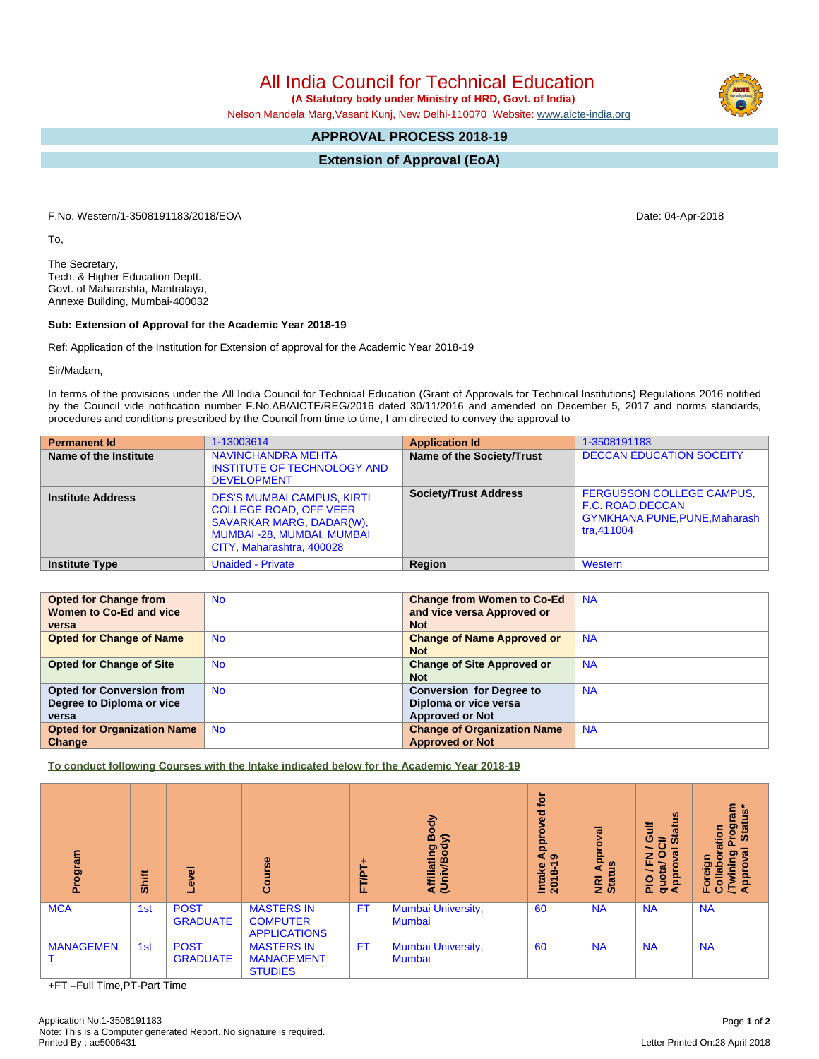All India Council for Technical Education

 **(A Statutory body under Ministry of HRD, Govt. of India)**

Nelson Mandela Marg,Vasant Kunj, New Delhi-110070 Website: [www.aicte-india.org](http://www.aicte-india.org)

## **APPROVAL PROCESS 2018-19**

**Extension of Approval (EoA)**

F.No. Western/1-3508191183/2018/EOA Date: 04-Apr-2018

To,

The Secretary, Tech. & Higher Education Deptt. Govt. of Maharashta, Mantralaya, Annexe Building, Mumbai-400032

## **Sub: Extension of Approval for the Academic Year 2018-19**

Ref: Application of the Institution for Extension of approval for the Academic Year 2018-19

Sir/Madam,

In terms of the provisions under the All India Council for Technical Education (Grant of Approvals for Technical Institutions) Regulations 2016 notified by the Council vide notification number F.No.AB/AICTE/REG/2016 dated 30/11/2016 and amended on December 5, 2017 and norms standards, procedures and conditions prescribed by the Council from time to time, I am directed to convey the approval to

| <b>Permanent Id</b>      | 1-13003614                                                                                                                                                      | <b>Application Id</b>        | 1-3508191183                                                                                          |
|--------------------------|-----------------------------------------------------------------------------------------------------------------------------------------------------------------|------------------------------|-------------------------------------------------------------------------------------------------------|
| Name of the Institute    | <b>NAVINCHANDRA MEHTA</b><br><b>INSTITUTE OF TECHNOLOGY AND</b><br><b>DEVELOPMENT</b>                                                                           | Name of the Society/Trust    | <b>DECCAN EDUCATION SOCEITY</b>                                                                       |
| <b>Institute Address</b> | <b>DES'S MUMBAI CAMPUS, KIRTI</b><br><b>COLLEGE ROAD, OFF VEER</b><br>SAVARKAR MARG, DADAR(W),<br><b>MUMBAI-28, MUMBAI, MUMBAI</b><br>CITY, Maharashtra, 400028 | <b>Society/Trust Address</b> | <b>FERGUSSON COLLEGE CAMPUS,</b><br>F.C. ROAD, DECCAN<br>GYMKHANA, PUNE, PUNE, Maharash<br>tra.411004 |
| <b>Institute Type</b>    | <b>Unaided - Private</b>                                                                                                                                        | Region                       | Western                                                                                               |

| <b>Opted for Change from</b>       | <b>No</b> | <b>Change from Women to Co-Ed</b>  | <b>NA</b> |
|------------------------------------|-----------|------------------------------------|-----------|
| Women to Co-Ed and vice            |           | and vice versa Approved or         |           |
| versa                              |           | <b>Not</b>                         |           |
| <b>Opted for Change of Name</b>    | <b>No</b> | <b>Change of Name Approved or</b>  | <b>NA</b> |
|                                    |           | <b>Not</b>                         |           |
| <b>Opted for Change of Site</b>    | <b>No</b> | <b>Change of Site Approved or</b>  | <b>NA</b> |
|                                    |           | <b>Not</b>                         |           |
| <b>Opted for Conversion from</b>   | <b>No</b> | <b>Conversion for Degree to</b>    | <b>NA</b> |
| Degree to Diploma or vice          |           | Diploma or vice versa              |           |
| versa                              |           | <b>Approved or Not</b>             |           |
| <b>Opted for Organization Name</b> | <b>No</b> | <b>Change of Organization Name</b> | <b>NA</b> |
| Change                             |           | <b>Approved or Not</b>             |           |

**To conduct following Courses with the Intake indicated below for the Academic Year 2018-19**

| rogram<br>ō.     | Shift | $\overline{\mathbf{c}}$<br>Φ   | rse<br>ပ္ပြ                                                 | ٠<br><b>FT/PT</b> | Body<br>$\widehat{\mathbf{z}}$<br>Affiliating<br>(Univ/Body | tor<br><u>පි</u><br>ο<br>$\frac{1}{4}$<br>Intake<br>2018-1 | ಸ<br><b>App</b><br>NRI Ap<br>Status | <b>Status</b><br><b>Jin</b><br>ੋ<br>∽<br>ζē<br>$\circ$<br>z<br>ц.<br>$\overline{\mathbf{a}}$<br>Approv<br>gup<br>$\frac{1}{2}$ | rogram<br>Status*<br>ation<br>ख़<br>ဥ<br>ō<br>Foreign<br>Collabou<br>/Twining<br>Approva |
|------------------|-------|--------------------------------|-------------------------------------------------------------|-------------------|-------------------------------------------------------------|------------------------------------------------------------|-------------------------------------|--------------------------------------------------------------------------------------------------------------------------------|------------------------------------------------------------------------------------------|
| <b>MCA</b>       | 1st   | <b>POST</b><br><b>GRADUATE</b> | <b>MASTERS IN</b><br><b>COMPUTER</b><br><b>APPLICATIONS</b> | <b>FT</b>         | Mumbai University,<br>Mumbai                                | 60                                                         | <b>NA</b>                           | <b>NA</b>                                                                                                                      | <b>NA</b>                                                                                |
| <b>MANAGEMEN</b> | 1st   | <b>POST</b><br><b>GRADUATE</b> | <b>MASTERS IN</b><br><b>MANAGEMENT</b><br><b>STUDIES</b>    | <b>FT</b>         | Mumbai University,<br>Mumbai                                | 60                                                         | <b>NA</b>                           | <b>NA</b>                                                                                                                      | <b>NA</b>                                                                                |

+FT –Full Time,PT-Part Time